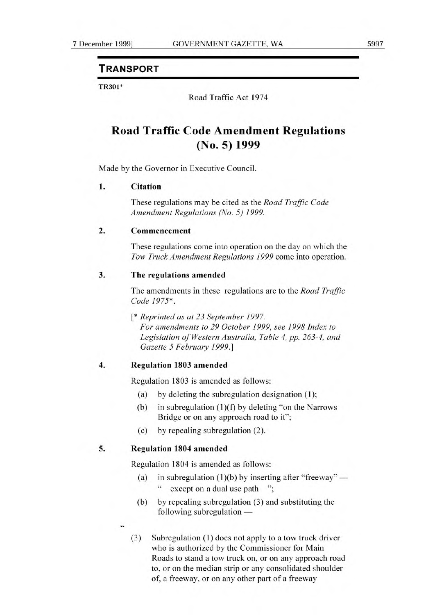## **TRANSPORT**

TR301\*

Road Traffic Act 1974

# **Road Traffic Code Amendment Regulations (No. 5) 1999**

Made by the Governor in Executive Council.

#### **I.** Citation

These regulations may be cited as the *Road Traffic Code Amendment Regulations (NO. 5) 1999.* 

#### 2. **Commencement**

These regulations come into operation on the day on which the *Tow Truck Amendment Regulations 1999* come into operation.

### **3. The regulations** amended

The amendments in these regulations are to the *Road Traffic Code 1975\* .* 

*[\* Reprinted as at 23 September 1997. For amendments to 29 October 1999, see 1998 Index to Legislation of Western Australia, Table 4, pp. 263-4, and Gazette 5 February 1999.]* 

#### **4. Regulation 1803 amended**

Regulation 1803 is amended as follows:

- (a) by deleting the subregulation designation (1);
- (b) in subregulation  $(1)(f)$  by deleting "on the Narrows" Bridge or on any approach road to it";
- (c) by repealing subregulation (2).

#### **5. Regulation 1804 amended**

Regulation 1804 is amended as follows:

- (a) in subregulation  $(1)(b)$  by inserting after "freeway" except on a dual use path ";
- (b) by repealing subregulation (3) and substituting the following subregulation —
- 44
	- (3) Subregulation **(1)** does not apply to a tow truck driver who is authorized by the Commissioner for Main Roads to stand a tow truck on, or on any approach road to, or on the median strip or any consolidated shoulder of, a freeway, or on any other part of a freeway